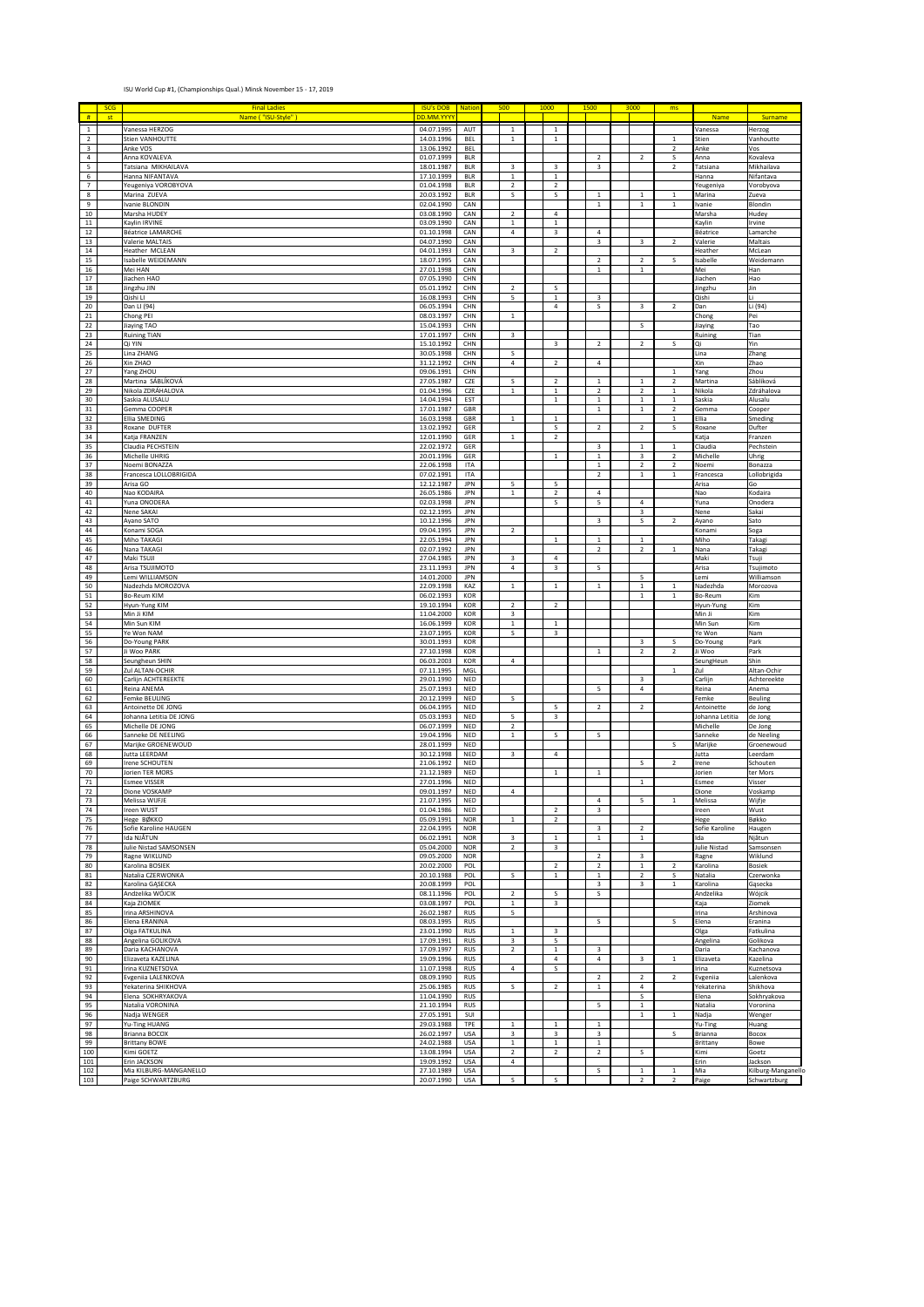## ISU World Cup #1, (Championships Qual.) Minsk November 15 - 17, 2019

| #                   | <b>SCG</b><br>st | <b>Final Ladies</b><br>Name ( "ISU-Style" )   | <b>ISU's DOB</b> Nation<br>DD.MM.YYYY |                          | 500                        | 1000                          | 1500 |                                | 3000                          | ms                                      | Name                                                       | Surname                 |
|---------------------|------------------|-----------------------------------------------|---------------------------------------|--------------------------|----------------------------|-------------------------------|------|--------------------------------|-------------------------------|-----------------------------------------|------------------------------------------------------------|-------------------------|
| $\,$ 1 $\,$         |                  | Vanessa HERZOG                                | 04.07.1995                            | AUT                      | $\,$ 1                     | $\,$ 1                        |      |                                |                               |                                         | <b>Janessa</b>                                             | Herzog                  |
| $\overline{2}$      |                  | Stien VANHOUTTE                               | 14.03.1996                            | <b>BEL</b>               | $\mathbf 1$                | $\,$ 1                        |      |                                |                               | $\overline{1}$                          | itien                                                      | Vanhoutte               |
| 3<br>4              |                  | Anke VOS<br>Anna KOVALEVA                     | 13.06.1992<br>01.07.1999              | <b>BEL</b><br><b>BLR</b> |                            |                               |      | $\overline{\mathbf{2}}$        | $\overline{\mathbf{c}}$       | $\overline{2}$<br>S                     | Anke<br>Anna                                               | Vos<br>Kovaleva         |
| 5                   |                  | Tatsiana MIKHAILAVA                           | 18.01.1987                            | <b>BLR</b>               | 3                          | 3                             |      | 3                              |                               | $\overline{\mathbf{2}}$                 | <b>Tatsiana</b>                                            | Mikhailava              |
| 6<br>$\overline{7}$ |                  | Hanna NIFANTAVA<br>Yeugeniya VOROBYOVA        | 17.10.1999<br>01.04.1998              | <b>BLR</b><br><b>BLR</b> | $\,$ 1 $\,$<br>$\sqrt{2}$  | $\mathbf 1$<br>$\overline{2}$ |      |                                |                               |                                         | Hanna<br>reugeniya                                         | Nifantava<br>Vorobyova  |
| 8                   |                  | Marina ZUEVA                                  | 20.03.1992                            | <b>BLR</b>               | s                          | s                             |      | $\,1\,$                        | $\,1\,$                       | $\,1\,$                                 | Marina                                                     | Zueva                   |
| 9                   |                  | Ivanie BLONDIN                                | 02.04.1990                            | CAN                      |                            |                               |      | $\mathbf{1}$                   | $\,1\,$                       | $\mathbf{1}$                            | vanie                                                      | Blondin                 |
| 10<br>$11\,$        |                  | Marsha HUDEY<br>Kaylin IRVINE                 | 03.08.1990<br>03.09.1990              | CAN<br>CAN               | $\sqrt{2}$<br>$\,$ 1       | 4<br>$\mathbf 1$              |      |                                |                               |                                         | Vlarsha<br>(aylin                                          | Hudey<br>Irvine         |
| 12                  |                  | <b>Béatrice LAMARCHE</b>                      | 01.10.1998                            | CAN                      | $\ensuremath{\mathsf{4}}$  | 3                             |      | $\sqrt{4}$                     |                               |                                         | <b>Béatrice</b>                                            | Lamarche                |
| 13<br>$14\,$        |                  | Valerie MALTAIS<br>Heather MCLEAN             | 04.07.1990<br>04.01.1993              | CAN<br>CAN               | 3                          | $\mathbf 2$                   |      | 3                              | 3                             | $\overline{2}$                          | <b>Valerie</b><br>Heather                                  | Maltais<br>McLean       |
| 15                  |                  | Isabelle WEIDEMANN                            | 18.07.1995                            | CAN                      |                            |                               |      | $\boldsymbol{2}$               | $\mathbf 2$                   | s                                       | sabelle                                                    | Weidemann               |
| 16                  |                  | Mei HAN                                       | 27.01.1998                            | CHN                      |                            |                               |      | $\mathbf{1}$                   | $\,1\,$                       |                                         | Mei                                                        | Han                     |
| 17<br>18            |                  | Jiachen HAO<br>Jingzhu JIN                    | 07.05.1990<br>05.01.1992              | CHN<br>CHN               | $\overline{2}$             | s                             |      |                                |                               |                                         | liachen<br>lingzhu                                         | Hao<br>Jin              |
| 19                  |                  | Qishi Ll                                      | 16.08.1993                            | CHN                      | 5                          | $\mathbf 1$                   |      | 3                              |                               |                                         | Qishi                                                      | Li                      |
| 20<br>$21\,$        |                  | Dan LI (94)<br>Chong PEI                      | 06.05.1994<br>08.03.1997              | CHN<br>CHN               | $\mathbf 1$                | 4                             |      | S                              | 3                             | $\overline{2}$                          | Dan<br>Chong                                               | Li (94)<br>Pei          |
| 22                  |                  | Jiaying TAO                                   | 15.04.1993                            | CHN                      |                            |                               |      |                                | s                             |                                         | liaying                                                    | Tao                     |
| 23<br>24            |                  | <b>Ruining TIAN</b><br>Qi YIN                 | 17.01.1997<br>15.10.1992              | CHN<br>CHN               | 3                          | 3                             |      | $\overline{\mathbf{c}}$        | $\boldsymbol{2}$              | s                                       | Ruining<br>iC                                              | Tian<br>Yin             |
| 25                  |                  | Lina ZHANG                                    | 30.05.1998                            | CHN                      | s                          |                               |      |                                |                               |                                         | ina                                                        | Zhang                   |
| 26                  |                  | Xin ZHAO                                      | 31.12.1992                            | CHN                      | $\overline{4}$             | $\mathbf 2$                   |      | $\sqrt{4}$                     |                               |                                         | Kin                                                        | Zhao                    |
| 27<br>28            |                  | Yang ZHOU<br>Martina SÁBLÍKOVÁ                | 09.06.1991<br>27.05.1987              | CHN<br>CZE               | s                          | $\mathbf 2$                   |      | $\,1\,$                        | $\,1\,$                       | $\mathbf{1}$<br>$\overline{\mathbf{2}}$ | ang<br>Martina                                             | Zhou<br>Sáblíková       |
| 29                  |                  | Nikola ZDRÁHALOVA                             | 01.04.1996                            | CZE                      | $\mathbf 1$                | $\mathbf 1$                   |      | $\sqrt{2}$                     | $\boldsymbol{2}$              | $\,1\,$                                 | Nikola                                                     | Zdráhalova              |
| 30<br>31            |                  | Saskia ALUSALU<br>Gemma COOPER                | 14.04.1994<br>17.01.1987              | EST<br>GBR               |                            | $\mathbf 1$                   |      | $\mathbf{1}$<br>$\,1\,$        | $\,1\,$<br>$\,$ 1 $\,$        | $\overline{1}$<br>$\overline{2}$        | Saskia<br>Gemma                                            | Alusalu<br>Cooper       |
| 32                  |                  | Ellia SMEDING                                 | 16.03.1998                            | GBR                      | $\mathbf 1$                | $\,$ 1 $\,$                   |      |                                |                               | $\,1\,$                                 | Ellia                                                      | Smeding                 |
| 33<br>34            |                  | Roxane DUFTER<br>Katja FRANZEN                | 13.02.1992<br>12.01.1990              | GER<br>GER               |                            | S<br>$\mathbf 2$              |      | $\overline{2}$                 | $\mathbf 2$                   | S                                       | Roxane                                                     | Dufter                  |
| 35                  |                  | Claudia PECHSTEIN                             | 22.02.1972                            | GER                      | $\,$ 1                     |                               |      | 3                              | $1\,$                         | $\mathbf{1}$                            | <b>Katja</b><br>Claudia                                    | Franzen<br>Pechstein    |
| 36                  |                  | Michelle UHRIG                                | 20.01.1996                            | GER                      |                            | $\,$ 1 $\,$                   |      | $\,1\,$                        | 3                             | $\overline{2}$                          | vichelle                                                   | Uhrig                   |
| 37<br>38            |                  | Noemi BONAZZA<br>Francesca LOLLOBRIGIDA       | 22.06.1998<br>07.02.1991              | ITA<br>ITA               |                            |                               |      | $\mathbf{1}$<br>$\overline{2}$ | $\mathbf 2$<br>$\,$ 1 $\,$    | $\overline{2}$<br>$\,$ 1                | Voemi<br>Francesca                                         | Bonazza<br>Lollobrigida |
| 39                  |                  | Arisa GO                                      | 12.12.1987                            | JPN                      | 5                          | 5                             |      |                                |                               |                                         | Arisa                                                      | Go                      |
| 40<br>$41\,$        |                  | Nao KODAIRA<br>Yuna ONODERA                   | 26.05.1986<br>02.03.1998              | <b>JPN</b><br>JPN        | $\,$ 1 $\,$                | $\overline{2}$<br>s           |      | $\bf{4}$<br>5                  | $\bf{4}$                      |                                         | Nao<br>/una                                                | Kodaira<br>Onodera      |
| 42                  |                  | Nene SAKAI                                    | 02.12.1995                            | JPN                      |                            |                               |      |                                | 3                             |                                         | Vene                                                       | Sakai                   |
| 43                  |                  | Ayano SATO                                    | 10.12.1996                            | <b>JPN</b>               |                            |                               |      | 3                              | s                             | $\overline{2}$                          | Ayano                                                      | Sato                    |
| 44<br>45            |                  | Konami SOGA<br>Miho TAKAGI                    | 09.04.1995<br>22.05.1994              | JPN<br>JPN               | $\overline{2}$             | $\,$ 1 $\,$                   |      | $\,1\,$                        | $\,$ 1 $\,$                   |                                         | Konami<br>Viiho                                            | Soga<br>Takagi          |
| 46                  |                  | Nana TAKAGI                                   | 02.07.1992                            | JPN                      |                            |                               |      | $\sqrt{2}$                     | $\mathbf 2$                   | $\mathbf 1$                             | Vana                                                       | Takagi                  |
| 47<br>48            |                  | Maki TSUJI<br>Arisa TSUJIMOTO                 | 27.04.1985<br>23.11.1993              | <b>JPN</b><br>JPN        | 3<br>$\overline{4}$        | 4<br>3                        |      | s                              |                               |                                         | Maki<br>Arisa                                              | Tsuji<br>Tsujimoto      |
| 49                  |                  | Lemi WILLIAMSON                               | 14.01.2000                            | JPN                      |                            |                               |      |                                | 5                             |                                         | .emi                                                       | Williamson              |
| 50<br>51            |                  | Nadezhda MOROZOVA<br>Bo-Reum KIM              | 22.09.1998<br>06.02.1993              | KAZ<br>KOR               | $\,$ 1                     | $\,$ 1 $\,$                   |      | $\mathbf{1}$                   | $\,1\,$<br>$\,1\,$            | $\mathbf{1}$<br>$\,1\,$                 | Vadezhda<br>3o-Reum                                        | Morozova<br>Kim         |
| 52                  |                  | Hyun-Yung KIM                                 | 19.10.1994                            | KOR                      | $\mathbf 2$                | $\overline{2}$                |      |                                |                               |                                         | lyun-Yung                                                  | Kim                     |
| 53                  |                  | Min Ji KIM<br>Min Sun KIM                     | 11.04.2000<br>16.06.1999              | KOR                      | 3<br>$\mathbf 1$           |                               |      |                                |                               |                                         | Vin Ji<br>Min Sun                                          | Kim                     |
| 54<br>55            |                  | Ye Won NAM                                    | 23.07.1995                            | KOR<br>KOR               | s                          | $\mathbf 1$<br>3              |      |                                |                               |                                         | e Won                                                      | Kim<br>Nam              |
| 56                  |                  | Do-Young PARK                                 | 30.01.1993                            | KOR                      |                            |                               |      |                                | 3                             | S                                       | Oo-Young                                                   | Park                    |
| 57<br>58            |                  | Ji Woo PARK<br>Seungheun SHIN                 | 27.10.1998<br>06.03.2003              | KOR<br>KOR               | $\bf{4}$                   |                               |      | $\mathbf{1}$                   | $\boldsymbol{2}$              | $\overline{2}$                          | li Woo<br>SeungHeun                                        | Park<br>Shin            |
| 59                  |                  | Zul ALTAN-OCHIR                               | 07.11.1995                            | MGL                      |                            |                               |      |                                |                               | $\mathbf 1$                             | Zul                                                        | Altan-Ochir             |
| 60<br>61            |                  | Carlijn ACHTEREEKTE<br>Reina ANEMA            | 29.01.1990<br>25.07.1993              | NED<br>NED               |                            |                               |      | 5                              | 3<br>$\bf{4}$                 |                                         | Carlijn<br>₹eina                                           | Achtereekte<br>Anema    |
| 62                  |                  | <b>Femke BEULING</b>                          | 20.12.1999                            | NED                      | s                          |                               |      |                                |                               |                                         | <sup>:</sup> emke                                          | Beuling                 |
| 63<br>64            |                  | Antoinette DE JONG<br>Johanna Letitia DE JONG | 06.04.1995<br>05.03.1993              | NED<br>NED               | 5                          | 5<br>3                        |      | $\sqrt{2}$                     | $\mathbf 2$                   |                                         | Antoinette<br>lohanna Letitia                              | de Jong<br>de Jong      |
| 65                  |                  | Michelle DE JONG                              | 06.07.1999                            | NED                      | $\overline{2}$             |                               |      |                                |                               |                                         | Vichelle                                                   | De Jong                 |
| 66                  |                  | Sanneke DE NEELING                            | 19.04.1996                            | NED                      | $\mathbf 1$                | s                             |      | s                              |                               |                                         | Sanneke                                                    | de Neeling              |
| 67<br>68            |                  | Marijke GROENEWOUD<br>Jutta LEERDAM           | 28.01.1999<br>30.12.1998              | NED<br>NED               | 3                          | 4                             |      |                                |                               | s                                       | Marijke<br>lutta                                           | Groenewoud<br>Leerdam   |
| 69                  |                  | Irene SCHOUTEN                                | 21.06.1992                            | NED                      |                            |                               |      |                                | s                             | $\overline{2}$                          | rene                                                       | Schouten                |
| 70<br>71            |                  | Jorien TER MORS<br><b>Esmee VISSER</b>        | 21.12.1989<br>27.01.1996              | NED<br>NED               |                            | $\,$ 1 $\,$                   |      | $\,1\,$                        | $\,1\,$                       |                                         | lorien<br>Esmee                                            | ter Mors<br>Visser      |
| 72                  |                  | Dione VOSKAMP                                 | 09.01.1997                            | NED                      | $\bf{4}$                   |                               |      |                                |                               |                                         | Dione                                                      | Voskamp                 |
| 73<br>74            |                  | melissa wiji-je<br>Ireen WUST                 | 21.07.1995<br>01.04.1986              | <b>NED</b><br>NED        |                            | 2                             |      | 4<br>3                         |                               |                                         | ielissa<br>reen                                            | wijtje<br>Wust          |
| 75                  |                  | Неде ВØККО                                    | 05.09.1991                            | <b>NOR</b>               | $\,$ 1 $\,$                | $\mathbf 2$                   |      |                                |                               |                                         | Hege                                                       | Bøkko                   |
| 76<br>77            |                  | Sofie Karoline HAUGEN<br>Ida NJÅTUN           | 22.04.1995<br>06.02.1991              | <b>NOR</b><br><b>NOR</b> | 3                          | $\,$ 1 $\,$                   |      | 3<br>$\,$ 1 $\,$               | $\mathbf 2$<br>$\mathbf 1$    |                                         | Sofie Karoline<br>Ida                                      | Haugen<br>Njåtun        |
| 78                  |                  | Julie Nistad SAMSONSEN                        | 05.04.2000                            | <b>NOR</b>               | $\mathbf 2$                | 3                             |      |                                |                               |                                         | Julie Nistad                                               | Samsonsen               |
| 79                  |                  | Ragne WIKLUND                                 | 09.05.2000                            | <b>NOR</b>               |                            |                               |      | $\overline{2}$                 | 3                             |                                         | Ragne                                                      | Wiklund                 |
| 80<br>81            |                  | Karolina BOSIEK<br>Natalia CZERWONKA          | 20.02.2000<br>20.10.1988              | POL<br>POL               | s                          | $\overline{2}$<br>$\,$ 1 $\,$ |      | $\overline{2}$<br>$\,$ 1 $\,$  | $\mathbf 1$<br>$\overline{2}$ | $\overline{2}$<br>s                     | <b>Carolina</b><br>Natalia                                 | Bosiek<br>Czerwonka     |
| 82                  |                  | Karolina GĄSECKA                              | 20.08.1999                            | POL                      |                            |                               |      | 3                              | 3                             | $\,$ 1 $\,$                             | <b>Carolina</b>                                            | Gąsecka                 |
| 83<br>84            |                  | Andżelika WÓJCIK<br>Kaja ZIOMEK               | 08.11.1996<br>03.08.1997              | POL<br>POL               | $\mathbf 2$<br>$\mathbf 1$ | s<br>3                        |      | s                              |                               |                                         | Andżelika<br><aja< td=""><td>Wójcik<br/>Ziomek</td></aja<> | Wójcik<br>Ziomek        |
| 85                  |                  | Irina ARSHINOVA                               | 26.02.1987                            | <b>RUS</b>               | 5                          |                               |      |                                |                               |                                         | rina                                                       | Arshinova               |
| 86<br>87            |                  | Elena ERANINA<br>Olga FATKULINA               | 08.03.1995<br>23.01.1990              | <b>RUS</b><br><b>RUS</b> | $\mathbf 1$                | 3                             |      | s                              |                               | s                                       | Elena<br>Olga                                              | Eranina<br>Fatkulina    |
| 88                  |                  | Angelina GOLIKOVA                             | 17.09.1991                            | <b>RUS</b>               | 3                          | 5                             |      |                                |                               |                                         | Angelina                                                   | Golikova                |
| 89                  |                  | Daria KACHANOVA                               | 17.09.1997                            | <b>RUS</b>               | $\mathbf 2$                | $\,$ 1 $\,$                   |      | 3                              |                               |                                         | Daria                                                      | Kachanova               |
| 90<br>91            |                  | Elizaveta KAZELINA<br>Irina KUZNETSOVA        | 19.09.1996<br>11.07.1998              | <b>RUS</b><br><b>RUS</b> | $\overline{4}$             | $\bf{4}$<br>s                 |      | $\bf{4}$                       | 3                             | $\mathbf 1$                             | Elizaveta<br>rina                                          | Kazelina<br>Kuznetsova  |
| 92                  |                  | Evgeniia LALENKOVA                            | 08.09.1990                            | <b>RUS</b>               |                            |                               |      | $\overline{2}$                 | $\overline{2}$                | $\overline{2}$                          | Evgeniia                                                   | Lalenkova               |
| 93<br>94            |                  | Yekaterina SHIKHOVA<br>Elena SOKHRYAKOVA      | 25.06.1985<br>11.04.1990              | <b>RUS</b><br><b>RUS</b> | s                          | $\overline{2}$                |      | $\,$ 1 $\,$                    | $\overline{4}$<br>s           |                                         | ekaterina<br>Elena                                         | Shikhova<br>Sokhryakova |
| 95                  |                  | Natalia VORONINA                              | 21.10.1994                            | <b>RUS</b>               |                            |                               |      | 5                              | $\mathbf 1$                   |                                         | Vatalia                                                    | Voronina                |
| 96<br>97            |                  | Nadja WENGER<br>Yu-Ting HUANG                 | 27.05.1991<br>29.03.1988              | SUI<br>TPE               | $\mathbf 1$                | $\mathbf{1}$                  |      | $\,$ 1 $\,$                    | $\,$ 1 $\,$                   | $\,$ 1 $\,$                             | Nadja<br>/u-Ting                                           | Wenger<br>Huang         |
| 98                  |                  | Brianna BOCOX                                 | 26.02.1997                            | <b>USA</b>               | 3                          | 3                             |      | 3                              |                               | S                                       | <b>Brianna</b>                                             | Bocox                   |
| 99<br>100           |                  | <b>Brittany BOWE</b><br>Kimi GOETZ            | 24.02.1988<br>13.08.1994              | <b>USA</b><br><b>USA</b> | $\mathbf 1$<br>$\sqrt{2}$  | $\mathbf 1$<br>$\mathbf 2$    |      | $\,1\,$<br>$\mathbf 2$         |                               |                                         | arittany<br>(imi                                           | Bowe<br>Goetz           |
| 101                 |                  | Erin JACKSON                                  | 19.09.1992                            | <b>USA</b>               | $\bf{4}$                   |                               |      |                                | s                             |                                         | :rin                                                       | Jackson                 |
| 102                 |                  | Mia KILBURG-MANGANELLO                        | 27.10.1989                            | <b>USA</b>               |                            |                               |      | s                              | $\mathbf 1$                   | $\overline{1}$                          | Mia                                                        | Kilburg-Manganello      |
| 103                 |                  | Paige SCHWARTZBURG                            | 20.07.1990                            | USA                      | $\mathsf{s}$               | s                             |      |                                | $\overline{2}$                |                                         | Paige                                                      | Schwartzburg            |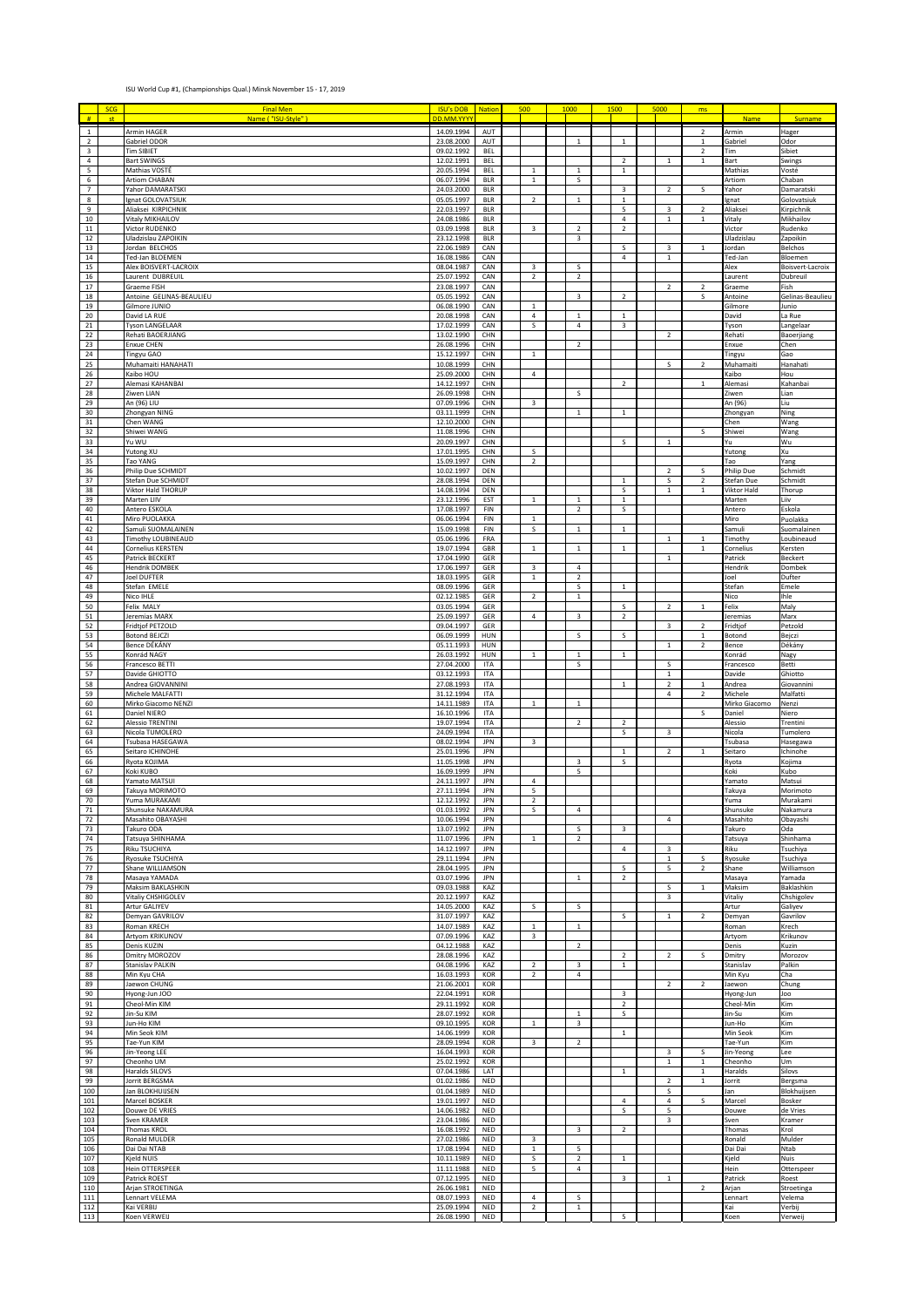## ISU World Cup #1, (Championships Qual.) Minsk November 15 - 17, 2019

| #                                   | <b>SCG</b><br>st | <b>Final Men</b><br>Name ( "ISU-Style" )  | <b>ISU's DOB</b><br>DD.MM.YYYY | <b>Nation</b>            | 500                       | 1000                       | 1500                      | 5000                    | ms                                      | <b>Name</b>                   | Surname                             |
|-------------------------------------|------------------|-------------------------------------------|--------------------------------|--------------------------|---------------------------|----------------------------|---------------------------|-------------------------|-----------------------------------------|-------------------------------|-------------------------------------|
| $\mathbf{1}$<br>$\overline{2}$      |                  | Armin HAGER<br>Gabriel ODOR               | 14.09.1994<br>23.08.2000       | AUT<br>AUT               |                           | $\mathbf{1}$               | $\mathbf{1}$              |                         | $\overline{\mathbf{2}}$<br>$\mathbf{1}$ | rmin<br>iabriel               | Hager<br>Odor                       |
| 3                                   |                  | <b>Tim SIBIET</b>                         | 09.02.1992                     | BEL                      |                           |                            |                           |                         | $\overline{2}$                          | `im                           | Sibiet                              |
| 4<br>5                              |                  | <b>Bart SWINGS</b><br>Mathias VOSTÉ       | 12.02.1991<br>20.05.1994       | <b>BEL</b><br>BEL        | $\mathbf{1}$              | $\mathbf 1$                | $\overline{2}$<br>$1\,$   | $\mathbf 1$             | $\,$ 1                                  | art<br>Mathias                | Swings<br>Vosté                     |
| $\sf 6$<br>$\overline{\phantom{a}}$ |                  | Artiom CHABAN<br>Yahor DAMARATSKI         | 06.07.1994<br>24.03.2000       | <b>BLR</b><br><b>BLR</b> | $\,$ 1                    | $\sf S$                    | $\ensuremath{\mathsf{3}}$ | $\mathbf 2$             | S                                       | Artiom<br>'ahor               | Chaban<br>Damaratski                |
| 8                                   |                  | Ignat GOLOVATSIUK                         | 05.05.1997                     | <b>BLR</b>               | $\overline{2}$            | $\mathbf 1$                | $\,$ 1 $\,$               |                         |                                         | mat                           | Golovatsiuk                         |
| 9<br>10                             |                  | Aliaksei KIRPICHNIK<br>Vitaly MIKHAILOV   | 22.03.1997<br>24.08.1986       | <b>BLR</b><br><b>BLR</b> |                           |                            | 5<br>$\overline{4}$       | $\mathsf 3$<br>$1\,$    | $\overline{\mathbf{2}}$<br>$\,$ 1       | liaksei<br>italy              | Kirpichnik<br>Mikhailov             |
| 11<br>$12\,$                        |                  | Victor RUDENKO<br>Uladzislau ZAPOIKIN     | 03.09.1998<br>23.12.1998       | <b>BLR</b><br><b>BLR</b> | 3                         | $\overline{2}$<br>3        | $\overline{2}$            |                         |                                         | 'ictor<br>Jladzislau          | Rudenko<br>Zapoikin                 |
| $13\,$<br>14                        |                  | Jordan BELCHOS<br>Ted-Jan BLOEMEN         | 22.06.1989<br>16.08.1986       | CAN<br>CAN               |                           |                            | S<br>$\overline{4}$       | 3<br>$1\,$              | $\mathbf{1}$                            | ordan<br>ed-Jan               | Belchos<br>Bloemen                  |
| 15                                  |                  | Alex BOISVERT-LACROIX                     | 08.04.1987                     | CAN                      | 3                         | s                          |                           |                         |                                         | Alex                          | Boisvert-Lacroix                    |
| 16<br>17                            |                  | Laurent DUBREUIL<br><b>Graeme FISH</b>    | 25.07.1992<br>23.08.1997       | CAN<br>CAN               | $\overline{2}$            | $\overline{2}$             |                           | $\overline{2}$          | $\overline{\phantom{a}}$                | aurent<br>Graeme              | Dubreuil<br>Fish                    |
| 18<br>19                            |                  | Antoine GELINAS-BEAULIEU<br>Gilmore JUNIO | 05.05.1992<br>06.08.1990       | CAN<br>CAN               | $\mathbf 1$               | $\mathsf 3$                | $\mathbf 2$               |                         | s                                       | Antoine<br>Silmore            | Gelinas-Beaulieu<br>lunio           |
| 20<br>21                            |                  | David LA RUE<br><b>Tyson LANGELAAR</b>    | 20.08.1998<br>17.02.1999       | CAN<br>CAN               | $\overline{4}$<br>s       | $\,1\,$<br>$\overline{4}$  | $\mathbf 1$<br>3          |                         |                                         | <b>David</b>                  | La Rue<br>Langelaar                 |
| 22                                  |                  | Rehati BAOERJIANG                         | 13.02.1990                     | CHN                      |                           |                            |                           | $\overline{2}$          |                                         | yson<br>tehati                | Baoerjiang                          |
| 23<br>24                            |                  | <b>Enxue CHEN</b><br>Tingyu GAO           | 26.08.1996<br>15.12.1997       | CHN<br>CHN               | $\,$ 1                    | $\overline{2}$             |                           |                         |                                         | :nxue<br>ingyu                | Chen<br>Gao                         |
| 25<br>26                            |                  | Muhamaiti HANAHATI<br>Kaibo HOU           | 10.08.1999<br>25.09.2000       | CHN<br>CHN               | $\bf{4}$                  |                            |                           | s                       | $\overline{\mathbf{2}}$                 | Muhamaiti<br>aibo)            | Hanahati<br>Hou                     |
| 27                                  |                  | Alemasi KAHANBAI                          | 14.12.1997                     | CHN                      |                           |                            | $\overline{2}$            |                         | $\mathbf{1}$                            | Alemasi                       | Kahanbai                            |
| 28<br>29                            |                  | Ziwen LIAN<br>An (96) LIU                 | 26.09.1998<br>07.09.1996       | CHN<br>CHN               | $\overline{\mathbf{3}}$   | s                          |                           |                         |                                         | 'iwen<br>\n (96)              | Lian<br>Liu                         |
| 30<br>$31\,$                        |                  | Zhongyan NING<br>Chen WANG                | 03.11.1999<br>12.10.2000       | CHN<br>CHN               |                           | $\mathbf 1$                | $\mathbf 1$               |                         |                                         | hongyan<br>hen:               | $\overline{\mathsf{N}}$ ing<br>Wang |
| 32<br>33                            |                  | Shiwei WANG<br>Yu WU                      | 11.08.1996<br>20.09.1997       | CHN<br>CHN               |                           |                            | $\sf S$                   | $\,$ 1 $\,$             | S                                       | ihiwei<br>ū                   | Wang<br>Wu                          |
| 34                                  |                  | Yutong XU                                 | 17.01.1995                     | CHN                      | s                         |                            |                           |                         |                                         | -<br>utong                    | Xu                                  |
| 35<br>36                            |                  | Tao YANG<br><b>Philip Due SCHMIDT</b>     | 15.09.1997<br>10.02.1997       | CHN<br>DEN               | $\overline{2}$            |                            |                           | $\overline{2}$          | s                                       | ao.<br>hilip Due              | Yang<br>Schmidt                     |
| 37<br>38                            |                  | Stefan Due SCHMIDT<br>Viktor Hald THORUP  | 28.08.1994<br>14.08.1994       | DEN<br>DEN               |                           |                            | $1\,$<br>S                | S<br>$\,1\,$            | $\overline{\mathbf{c}}$<br>$\mathbf{1}$ | itefan Due<br>/iktor Hald     | Schmidt<br>Thorup                   |
| 39                                  |                  | Marten LIIV                               | 23.12.1996                     | EST                      | $\mathbf{1}$              | $\mathbf{1}$               | $\mathbf 1$               |                         |                                         | Marten                        | Liiv                                |
| 40<br>41                            |                  | Antero ESKOLA<br>Miro PUOLAKKA            | 17.08.1997<br>06.06.1994       | FIN<br>FIN               | $\mathbf{1}$              | $\overline{2}$             | s                         |                         |                                         | Antero<br>Miro                | Eskola<br>Puolakka                  |
| 42<br>43                            |                  | Samuli SUOMALAINEN<br>Timothy LOUBINEAUD  | 15.09.1998<br>05.06.1996       | FIN<br>FRA               | s                         | $\mathbf 1$                | $1\,$                     | $\,1\,$                 | $\overline{1}$                          | iamuli<br>Timothy             | Suomalainen<br>oubineaud.           |
| 44<br>45                            |                  | Cornelius KERSTEN<br>Patrick BECKERT      | 19.07.1994<br>17.04.1990       | GBR<br>GER               | $1\,$                     | $\mathbf 1$                | $\mathbf 1$               | $\mathbf 1$             | $\,$ 1                                  | Cornelius<br>atrick           | Kersten                             |
| 46                                  |                  | <b>Hendrik DOMBEK</b>                     | 17.06.1997                     | GER                      | $\ensuremath{\mathsf{3}}$ | 4                          |                           |                         |                                         | lendrik                       | Beckert<br>Dombek                   |
| 47<br>48                            |                  | <b>Joel DUFTER</b><br>Stefan EMELE        | 18.03.1995<br>08.09.1996       | GER<br>GER               | $1\,$                     | $\overline{2}$<br>s        | $1\,$                     |                         |                                         | oel<br>itefan                 | Dufter<br>Emele                     |
| 49<br>50                            |                  | Nico IHLE<br>Felix MALY                   | 02.12.1985<br>03.05.1994       | GER<br>GER               | $\mathbf 2$               | $\mathbf{1}$               | S                         | $\mathbf 2$             | $\mathbf{1}$                            | Vico<br>elix                  | Ihle<br>Maly                        |
| $51\,$                              |                  | Jeremias MARX                             | 25.09.1997                     | GER                      | $\bf{4}$                  | $\mathsf3$                 | $\overline{2}$            |                         |                                         | eremias                       | Marx                                |
| 52<br>53                            |                  | Fridtjof PETZOLD<br><b>Botond BEJCZI</b>  | 09.04.1997<br>06.09.1999       | GER<br>HUN               |                           | s                          | s                         | 3                       | $\overline{2}$<br>$\mathbf{1}$          | ridtjof<br><b>Sotond</b>      | Petzold<br>Bejczi                   |
| 54<br>55                            |                  | Bence DÉKÁNY<br>Konrád NAGY               | 05.11.1993<br>26.03.1992       | HUN<br>HUN               | $\,1\,$                   | $\mathbf{1}$               | $\mathbf{1}$              | $\mathbf{1}$            | $\overline{2}$                          | <b>Bence</b><br><b>Conrád</b> | Dékány<br>Nagy                      |
| 56<br>57                            |                  | Francesco BETTI<br>Davide GHIOTTO         | 27.04.2000<br>03.12.1993       | <b>ITA</b><br><b>ITA</b> |                           | $\sf S$                    |                           | $\sf S$<br>$\,1\,$      |                                         | rancesco                      | Betti                               |
| 58                                  |                  | Andrea GIOVANNINI                         | 27.08.1993                     | ITA                      |                           |                            | $\mathbf 1$               | $\mathbf 2$             | $\,$ 1                                  | Javide<br>Andrea              | Ghiotto<br>Giovannini               |
| 59<br>60                            |                  | Michele MALFATTI<br>Mirko Giacomo NENZI   | 31.12.1994<br>14.11.1989       | ITA<br>ITA               | $\mathbf{1}$              | $\mathbf{1}$               |                           | $\overline{4}$          | $\overline{\mathbf{2}}$                 | Michele<br>Mirko Giacomo      | Malfatti<br>Nenzi                   |
| 61<br>62                            |                  | Daniel NIERO<br><b>Alessio TRENTINI</b>   | 16.10.1996<br>19.07.1994       | <b>ITA</b><br><b>ITA</b> |                           | $\overline{2}$             | $\mathbf 2$               |                         | s                                       | Daniel<br>lessio              | Niero<br><b>Trentini</b>            |
| 63<br>64                            |                  | Nicola TUMOLERO<br>Tsubasa HASEGAWA       | 24.09.1994                     | <b>ITA</b>               |                           |                            | s                         | 3                       |                                         | Vicola                        | Tumolero                            |
| 65                                  |                  | Seitaro ICHINOHE                          | 08.02.1994<br>25.01.1996       | JPN<br>JPN               | 3                         |                            | $\mathbf{1}$              | $\overline{2}$          | $\mathbf{1}$                            | subasa<br>ieitaro             | Hasegawa<br>Ichinohe                |
| 66<br>67                            |                  | Ryota KOJIMA<br>Koki KUBO                 | 11.05.1998<br>16.09.1999       | <b>JPN</b><br>JPN        |                           | 3<br>5                     | s                         |                         |                                         | ≀yota<br>(oki                 | Kojima<br><b>Cubo</b>               |
| 68<br>69                            |                  | Yamato MATSUI<br>Takuya MORIMOTO          | 24.11.1997<br>27.11.1994       | <b>JPN</b><br>JPN        | 4<br>5                    |                            |                           |                         |                                         | amato<br><sup>-</sup> akuya   | Matsui<br>Morimoto                  |
| 70                                  |                  | ruma MURAKAM                              | 12.12.1992                     | JPN                      |                           |                            |                           |                         |                                         | uma                           | Murakami                            |
| 71<br>72                            |                  | Shunsuke NAKAMURA<br>Masahito OBAYASHI    | 01.03.1992<br>10.06.1994       | JPN<br><b>JPN</b>        | $\sf S$                   | 4                          |                           | $\overline{4}$          |                                         | ihunsuke<br>Masahito          | Nakamura<br>Obayashi                |
| 73<br>74                            |                  | Takuro ODA<br>Tatsuya SHINHAMA            | 13.07.1992<br>11.07.1996       | <b>JPN</b><br><b>JPN</b> | $\,$ 1                    | s<br>$\overline{2}$        | 3                         |                         |                                         | akuro<br>atsuya               | Oda<br>Shinhama                     |
| 75<br>76                            |                  | Riku TSUCHIYA<br>Ryosuke TSUCHIYA         | 14.12.1997<br>29.11.1994       | JPN<br>JPN               |                           |                            | 4                         | 3<br>$\mathbf{1}$       | s                                       | liku<br><b>łyosuke</b>        | Tsuchiya<br>Tsuchiya                |
| 77                                  |                  | Shane WILLIAMSON                          | 28.04.1995                     | JPN                      |                           |                            | 5                         | 5                       | $\overline{2}$                          | shane                         | Williamson                          |
| 78<br>79                            |                  | Masaya YAMADA<br>Maksim BAKLASHKIN        | 03.07.1996<br>09.03.1988       | JPN<br>KAZ               |                           | $\mathbf{1}$               | $\overline{\mathbf{2}}$   | s                       | $\,$ 1                                  | Masaya<br>Maksim              | Yamada<br>Baklashkin                |
| 80<br>${\bf 81}$                    |                  | Vitaliy CHSHIGOLEV<br>Artur GALIYEV       | 20.12.1997<br>14.05.2000       | KAZ<br>KAZ               | $\sf S$                   | $\sf S$                    |                           | $\overline{\mathbf{3}}$ |                                         | /italiy<br>Artur              | Chshigolev<br>Galiyev               |
| 82<br>83                            |                  | Demyan GAVRILOV<br>Roman KRECH            | 31.07.1997<br>14.07.1989       | KAZ<br>KAZ               | $1\,$                     | $\mathbf 1$                | $\sf S$                   | $\,1\,$                 | $\mathbf 2$                             | Demyan<br>Roman               | Gavrilov<br>Krech                   |
| 84                                  |                  | Artyom KRIKUNOV                           | 07.09.1996                     | KAZ                      | 3                         |                            |                           |                         |                                         | Artyom                        | Krikunov                            |
| 85<br>86                            |                  | Denis KUZIN<br>Dmitry MOROZOV             | 04.12.1988<br>28.08.1996       | KAZ<br>KAZ               |                           | $\overline{2}$             | $\overline{2}$            | $\overline{2}$          | S                                       | Jenis<br><b>Omitry</b>        | Kuzin<br>Morozov                    |
| 87<br>88                            |                  | Stanislav PALKIN<br>Min Kyu CHA           | 04.08.1996<br>16.03.1993       | KAZ<br>KOR               | 2<br>$\overline{2}$       | 3<br>$\overline{4}$        | $1\,$                     |                         |                                         | itanislav<br>Min Kyu          | Palkin<br>Cha                       |
| 89                                  |                  | Jaewon CHUNG                              | 21.06.2001                     | KOR                      |                           |                            |                           | $\overline{2}$          | $\overline{2}$                          | laewon                        | Chung                               |
| 90<br>91                            |                  | Hyong-Jun JOO<br>Cheol-Min KIM            | 22.04.1991<br>29.11.1992       | KOR<br>KOR               |                           |                            | 3<br>$\overline{2}$       |                         |                                         | Hyong-Jun<br>Cheol-Min        | Joo<br>Kim                          |
| 92<br>93                            |                  | Jin-Su KIM<br>Jun-Ho KIM                  | 28.07.1992<br>09.10.1995       | KOR<br>KOR               | $\,$ 1                    | $\mathbf 1$<br>$\mathsf 3$ | s                         |                         |                                         | lin-Su<br>lun-Ho              | Kim<br>Kim                          |
| 94<br>95                            |                  | Min Seok KIM<br>Tae-Yun KIM               | 14.06.1999<br>28.09.1994       | KOR<br>KOR               | $\mathsf3$                | $\mathbf 2$                | $\,$ 1                    |                         |                                         | <b>Min Seok</b><br>ae-Yun     | Kim<br>Kim                          |
| 96                                  |                  | Jin-Yeong LEE                             | 16.04.1993                     | KOR                      |                           |                            |                           | 3                       | S                                       | in-Yeong                      | Lee                                 |
| 97<br>98                            |                  | Cheonho UM<br>Haralds SILOVS              | 25.02.1992<br>07.04.1986       | KOR<br>LAT               |                           |                            | $\mathbf 1$               | $\mathbf{1}$            | $\mathbf{1}$<br>1                       | heonho<br>laralds             | Um<br>Silovs                        |
| 99<br>100                           |                  | Jorrit BERGSMA<br>Jan BLOKHUIJSEN         | 01.02.1986<br>01.04.1989       | NED<br><b>NED</b>        |                           |                            |                           | $\overline{2}$<br>S     | $\mathbf 1$                             | orrit<br>an                   | Bergsma<br>Blokhuijsen              |
| 101                                 |                  | Marcel BOSKER                             | 19.01.1997                     | NED                      |                           |                            | 4                         | $\overline{4}$          | s                                       | Marcel                        | Bosker                              |
| 102<br>103                          |                  | Douwe DE VRIES<br>Sven KRAMER             | 14.06.1982<br>23.04.1986       | NED<br>NED               |                           |                            | s                         | 5<br>3                  |                                         | Jouwe<br>sven                 | de Vries<br>Kramer                  |
| 104<br>105                          |                  | <b>Thomas KROL</b><br>Ronald MULDER       | 16.08.1992<br>27.02.1986       | <b>NED</b><br>NED        | $\overline{\mathbf{3}}$   | 3                          | $\overline{2}$            |                         |                                         | Thomas<br>Ronald              | Krol<br>Mulder                      |
| 106<br>107                          |                  | Dai Dai NTAB<br>Kjeld NUIS                | 17.08.1994<br>10.11.1989       | NED<br>NED               | $\,$ 1 $\,$<br>$\sf S$    | 5<br>$\mathbf 2$           | $\mathbf 1$               |                         |                                         | Dai Dai<br>(jeld              | Ntab<br>Nuis                        |
| 108                                 |                  | <b>Hein OTTERSPEER</b>                    | 11.11.1988                     | NED                      | 5                         | 4                          |                           |                         |                                         | łein                          | Otterspeer                          |
| 109<br>110                          |                  | Patrick ROEST<br>Arjan STROETINGA         | 07.12.1995<br>26.06.1981       | NED<br><b>NED</b>        |                           |                            | 3                         | $\,1\,$                 | $\overline{2}$                          | atrick<br>Arjan               | Roest<br>Stroetinga                 |
| 111<br>112                          |                  | Lennart VELEMA<br>Kai VERBIJ              | 08.07.1993<br>25.09.1994       | <b>NED</b><br>NED        | $\overline{4}$<br>2       | s<br>$\mathbf{1}$          |                           |                         |                                         | ennart.<br>(ai                | Velema<br>Verbij                    |
| 113                                 |                  | Koen VERWEIJ                              | 26.08.1990                     | NED                      |                           |                            | 5                         |                         |                                         | Koen                          | Verweij                             |